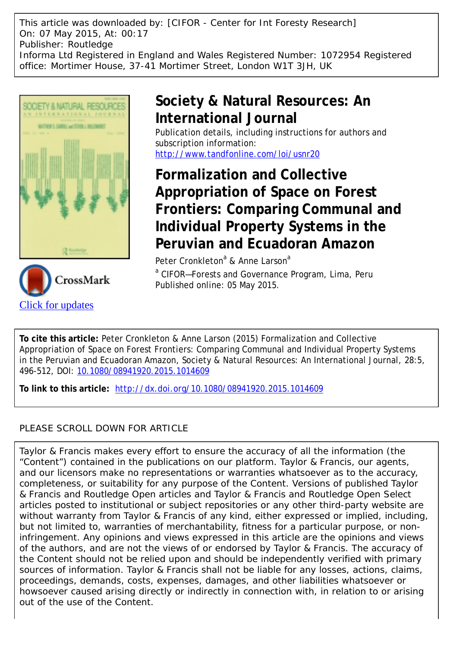This article was downloaded by: [CIFOR - Center for Int Foresty Research] On: 07 May 2015, At: 00:17 Publisher: Routledge Informa Ltd Registered in England and Wales Registered Number: 1072954 Registered office: Mortimer House, 37-41 Mortimer Street, London W1T 3JH, UK





# **Society & Natural Resources: An International Journal**

Publication details, including instructions for authors and subscription information: <http://www.tandfonline.com/loi/usnr20>

**Formalization and Collective Appropriation of Space on Forest Frontiers: Comparing Communal and Individual Property Systems in the Peruvian and Ecuadoran Amazon**

Peter Cronkleton<sup>a</sup> & Anne Larson<sup>a</sup> <sup>a</sup> CIFOR-Forests and Governance Program, Lima, Peru Published online: 05 May 2015.

**To cite this article:** Peter Cronkleton & Anne Larson (2015) Formalization and Collective Appropriation of Space on Forest Frontiers: Comparing Communal and Individual Property Systems in the Peruvian and Ecuadoran Amazon, Society & Natural Resources: An International Journal, 28:5, 496-512, DOI: [10.1080/08941920.2015.1014609](http://www.tandfonline.com/action/showCitFormats?doi=10.1080/08941920.2015.1014609)

**To link to this article:** <http://dx.doi.org/10.1080/08941920.2015.1014609>

## PLEASE SCROLL DOWN FOR ARTICLE

Taylor & Francis makes every effort to ensure the accuracy of all the information (the "Content") contained in the publications on our platform. Taylor & Francis, our agents, and our licensors make no representations or warranties whatsoever as to the accuracy, completeness, or suitability for any purpose of the Content. Versions of published Taylor & Francis and Routledge Open articles and Taylor & Francis and Routledge Open Select articles posted to institutional or subject repositories or any other third-party website are without warranty from Taylor & Francis of any kind, either expressed or implied, including, but not limited to, warranties of merchantability, fitness for a particular purpose, or noninfringement. Any opinions and views expressed in this article are the opinions and views of the authors, and are not the views of or endorsed by Taylor & Francis. The accuracy of the Content should not be relied upon and should be independently verified with primary sources of information. Taylor & Francis shall not be liable for any losses, actions, claims, proceedings, demands, costs, expenses, damages, and other liabilities whatsoever or howsoever caused arising directly or indirectly in connection with, in relation to or arising out of the use of the Content.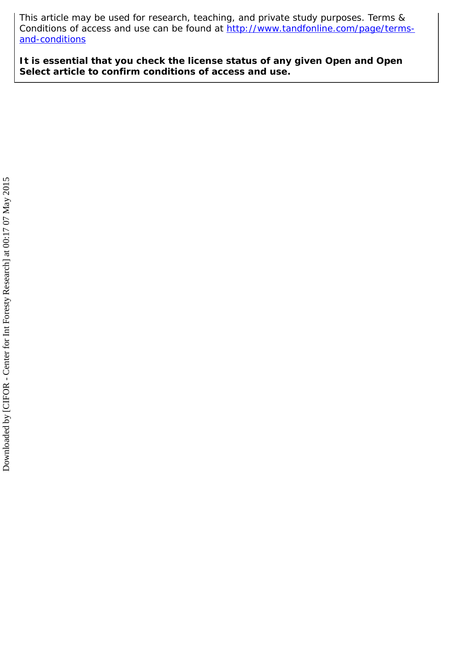This article may be used for research, teaching, and private study purposes. Terms & Conditions of access and use can be found at [http://www.tandfonline.com/page/terms](http://www.tandfonline.com/page/terms-and-conditions)[and-conditions](http://www.tandfonline.com/page/terms-and-conditions)

**It is essential that you check the license status of any given Open and Open Select article to confirm conditions of access and use.**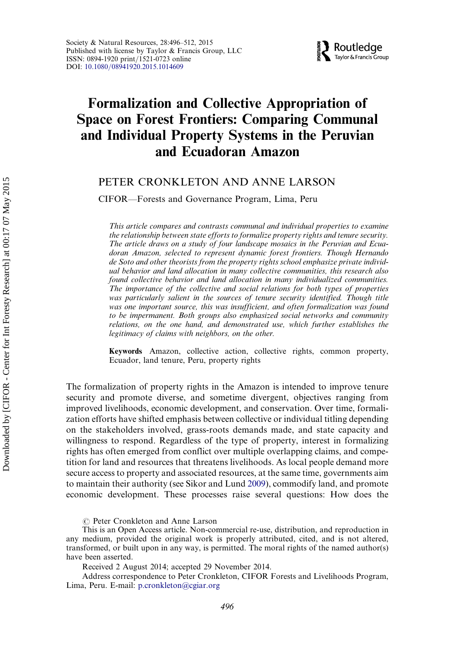

## Formalization and Collective Appropriation of Space on Forest Frontiers: Comparing Communal and Individual Property Systems in the Peruvian and Ecuadoran Amazon

## PETER CRONKLETON AND ANNE LARSON

CIFOR—Forests and Governance Program, Lima, Peru

This article compares and contrasts communal and individual properties to examine the relationship between state efforts to formalize property rights and tenure security. The article draws on a study of four landscape mosaics in the Peruvian and Ecuadoran Amazon, selected to represent dynamic forest frontiers. Though Hernando de Soto and other theorists from the property rights school emphasize private individual behavior and land allocation in many collective communities, this research also found collective behavior and land allocation in many individualized communities. The importance of the collective and social relations for both types of properties was particularly salient in the sources of tenure security identified. Though title was one important source, this was insufficient, and often formalization was found to be impermanent. Both groups also emphasized social networks and community relations, on the one hand, and demonstrated use, which further establishes the legitimacy of claims with neighbors, on the other.

Keywords Amazon, collective action, collective rights, common property, Ecuador, land tenure, Peru, property rights

The formalization of property rights in the Amazon is intended to improve tenure security and promote diverse, and sometime divergent, objectives ranging from improved livelihoods, economic development, and conservation. Over time, formalization efforts have shifted emphasis between collective or individual titling depending on the stakeholders involved, grass-roots demands made, and state capacity and willingness to respond. Regardless of the type of property, interest in formalizing rights has often emerged from conflict over multiple overlapping claims, and competition for land and resources that threatens livelihoods. As local people demand more secure access to property and associated resources, at the same time, governments aim to maintain their authority (see Sikor and Lund [2009](#page-18-0)), commodify land, and promote economic development. These processes raise several questions: How does the

 $\circledcirc$  Peter Cronkleton and Anne Larson

This is an Open Access article. Non-commercial re-use, distribution, and reproduction in any medium, provided the original work is properly attributed, cited, and is not altered, transformed, or built upon in any way, is permitted. The moral rights of the named author(s) have been asserted.

Received 2 August 2014; accepted 29 November 2014.

Address correspondence to Peter Cronkleton, CIFOR Forests and Livelihoods Program, Lima, Peru. E-mail: [p.cronkleton@cgiar.org](mailto:p.cronkleton@cgiar.org)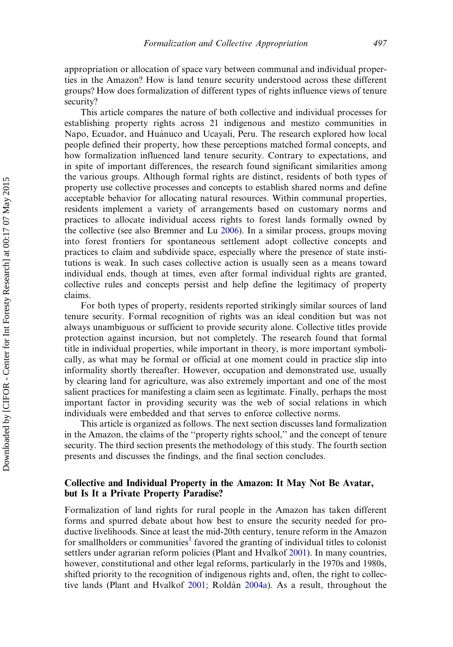appropriation or allocation of space vary between communal and individual properties in the Amazon? How is land tenure security understood across these different groups? How does formalization of different types of rights influence views of tenure security?

This article compares the nature of both collective and individual processes for establishing property rights across 21 indigenous and mestizo communities in Napo, Ecuador, and Huánuco and Ucayali, Peru. The research explored how local people defined their property, how these perceptions matched formal concepts, and how formalization influenced land tenure security. Contrary to expectations, and in spite of important differences, the research found significant similarities among the various groups. Although formal rights are distinct, residents of both types of property use collective processes and concepts to establish shared norms and define acceptable behavior for allocating natural resources. Within communal properties, residents implement a variety of arrangements based on customary norms and practices to allocate individual access rights to forest lands formally owned by the collective (see also Bremner and Lu [2006\)](#page-17-0). In a similar process, groups moving into forest frontiers for spontaneous settlement adopt collective concepts and practices to claim and subdivide space, especially where the presence of state institutions is weak. In such cases collective action is usually seen as a means toward individual ends, though at times, even after formal individual rights are granted, collective rules and concepts persist and help define the legitimacy of property claims.

For both types of property, residents reported strikingly similar sources of land tenure security. Formal recognition of rights was an ideal condition but was not always unambiguous or sufficient to provide security alone. Collective titles provide protection against incursion, but not completely. The research found that formal title in individual properties, while important in theory, is more important symbolically, as what may be formal or official at one moment could in practice slip into informality shortly thereafter. However, occupation and demonstrated use, usually by clearing land for agriculture, was also extremely important and one of the most salient practices for manifesting a claim seen as legitimate. Finally, perhaps the most important factor in providing security was the web of social relations in which individuals were embedded and that serves to enforce collective norms.

This article is organized as follows. The next section discusses land formalization in the Amazon, the claims of the ''property rights school,'' and the concept of tenure security. The third section presents the methodology of this study. The fourth section presents and discusses the findings, and the final section concludes.

### Collective and Individual Property in the Amazon: It May Not Be Avatar, but Is It a Private Property Paradise?

Formalization of land rights for rural people in the Amazon has taken different forms and spurred debate about how best to ensure the security needed for productive livelihoods. Since at least the mid-20th century, tenure reform in the Amazon for smallholders or communities<sup>[1](#page-16-0)</sup> favored the granting of individual titles to colonist settlers under agrarian reform policies (Plant and Hvalkof [2001\)](#page-17-0). In many countries, however, constitutional and other legal reforms, particularly in the 1970s and 1980s, shifted priority to the recognition of indigenous rights and, often, the right to collec-tive lands (Plant and Hvalkof [2001](#page-17-0); Roldán [2004a\)](#page-17-0). As a result, throughout the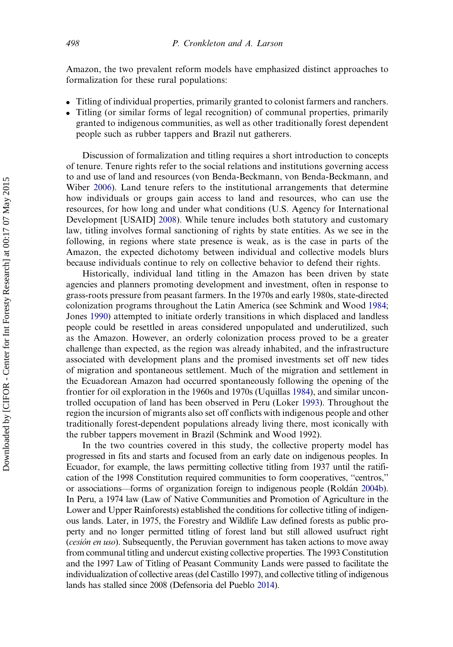Amazon, the two prevalent reform models have emphasized distinct approaches to formalization for these rural populations:

- . Titling of individual properties, primarily granted to colonist farmers and ranchers.
- . Titling (or similar forms of legal recognition) of communal properties, primarily granted to indigenous communities, as well as other traditionally forest dependent people such as rubber tappers and Brazil nut gatherers.

Discussion of formalization and titling requires a short introduction to concepts of tenure. Tenure rights refer to the social relations and institutions governing access to and use of land and resources (von Benda-Beckmann, von Benda-Beckmann, and Wiber [2006](#page-18-0)). Land tenure refers to the institutional arrangements that determine how individuals or groups gain access to land and resources, who can use the resources, for how long and under what conditions (U.S. Agency for International Development [USAID] [2008](#page-18-0)). While tenure includes both statutory and customary law, titling involves formal sanctioning of rights by state entities. As we see in the following, in regions where state presence is weak, as is the case in parts of the Amazon, the expected dichotomy between individual and collective models blurs because individuals continue to rely on collective behavior to defend their rights.

Historically, individual land titling in the Amazon has been driven by state agencies and planners promoting development and investment, often in response to grass-roots pressure from peasant farmers. In the 1970s and early 1980s, state-directed colonization programs throughout the Latin America (see Schmink and Wood [1984;](#page-18-0) Jones [1990\)](#page-17-0) attempted to initiate orderly transitions in which displaced and landless people could be resettled in areas considered unpopulated and underutilized, such as the Amazon. However, an orderly colonization process proved to be a greater challenge than expected, as the region was already inhabited, and the infrastructure associated with development plans and the promised investments set off new tides of migration and spontaneous settlement. Much of the migration and settlement in the Ecuadorean Amazon had occurred spontaneously following the opening of the frontier for oil exploration in the 1960s and 1970s (Uquillas [1984\)](#page-18-0), and similar uncontrolled occupation of land has been observed in Peru (Loker [1993](#page-17-0)). Throughout the region the incursion of migrants also set off conflicts with indigenous people and other traditionally forest-dependent populations already living there, most iconically with the rubber tappers movement in Brazil (Schmink and Wood 1992).

In the two countries covered in this study, the collective property model has progressed in fits and starts and focused from an early date on indigenous peoples. In Ecuador, for example, the laws permitting collective titling from 1937 until the ratification of the 1998 Constitution required communities to form cooperatives, ''centros,'' or associations—forms of organization foreign to indigenous people (Rolda´n [2004b](#page-17-0)). In Peru, a 1974 law (Law of Native Communities and Promotion of Agriculture in the Lower and Upper Rainforests) established the conditions for collective titling of indigenous lands. Later, in 1975, the Forestry and Wildlife Law defined forests as public property and no longer permitted titling of forest land but still allowed usufruct right (cesión en uso). Subsequently, the Peruvian government has taken actions to move away from communal titling and undercut existing collective properties. The 1993 Constitution and the 1997 Law of Titling of Peasant Community Lands were passed to facilitate the individualization of collective areas (del Castillo 1997), and collective titling of indigenous lands has stalled since 2008 (Defensoria del Pueblo [2014](#page-17-0)).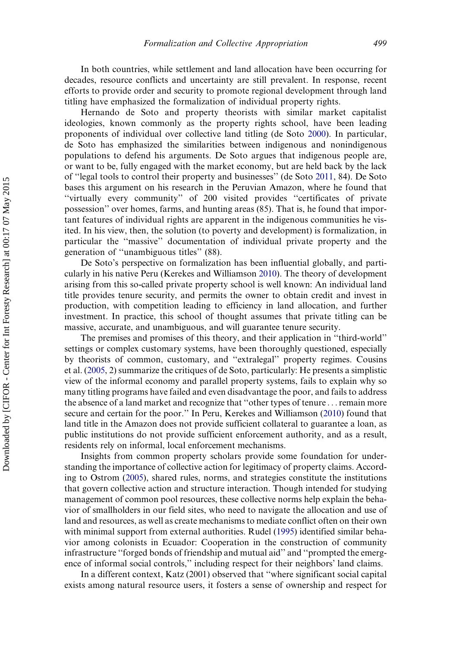In both countries, while settlement and land allocation have been occurring for decades, resource conflicts and uncertainty are still prevalent. In response, recent efforts to provide order and security to promote regional development through land titling have emphasized the formalization of individual property rights.

Hernando de Soto and property theorists with similar market capitalist ideologies, known commonly as the property rights school, have been leading proponents of individual over collective land titling (de Soto [2000\)](#page-17-0). In particular, de Soto has emphasized the similarities between indigenous and nonindigenous populations to defend his arguments. De Soto argues that indigenous people are, or want to be, fully engaged with the market economy, but are held back by the lack of ''legal tools to control their property and businesses'' (de Soto [2011,](#page-17-0) 84). De Soto bases this argument on his research in the Peruvian Amazon, where he found that ''virtually every community'' of 200 visited provides ''certificates of private possession'' over homes, farms, and hunting areas (85). That is, he found that important features of individual rights are apparent in the indigenous communities he visited. In his view, then, the solution (to poverty and development) is formalization, in particular the ''massive'' documentation of individual private property and the generation of ''unambiguous titles'' (88).

De Soto's perspective on formalization has been influential globally, and particularly in his native Peru (Kerekes and Williamson [2010\)](#page-17-0). The theory of development arising from this so-called private property school is well known: An individual land title provides tenure security, and permits the owner to obtain credit and invest in production, with competition leading to efficiency in land allocation, and further investment. In practice, this school of thought assumes that private titling can be massive, accurate, and unambiguous, and will guarantee tenure security.

The premises and promises of this theory, and their application in ''third-world'' settings or complex customary systems, have been thoroughly questioned, especially by theorists of common, customary, and ''extralegal'' property regimes. Cousins et al. [\(2005,](#page-17-0) 2) summarize the critiques of de Soto, particularly: He presents a simplistic view of the informal economy and parallel property systems, fails to explain why so many titling programs have failed and even disadvantage the poor, and fails to address the absence of a land market and recognize that ''other types of tenure ...remain more secure and certain for the poor.'' In Peru, Kerekes and Williamson ([2010](#page-17-0)) found that land title in the Amazon does not provide sufficient collateral to guarantee a loan, as public institutions do not provide sufficient enforcement authority, and as a result, residents rely on informal, local enforcement mechanisms.

Insights from common property scholars provide some foundation for understanding the importance of collective action for legitimacy of property claims. According to Ostrom ([2005](#page-17-0)), shared rules, norms, and strategies constitute the institutions that govern collective action and structure interaction. Though intended for studying management of common pool resources, these collective norms help explain the behavior of smallholders in our field sites, who need to navigate the allocation and use of land and resources, as well as create mechanisms to mediate conflict often on their own with minimal support from external authorities. Rudel ([1995](#page-17-0)) identified similar behavior among colonists in Ecuador: Cooperation in the construction of community infrastructure ''forged bonds of friendship and mutual aid'' and ''prompted the emergence of informal social controls,'' including respect for their neighbors' land claims.

In a different context, Katz (2001) observed that ''where significant social capital exists among natural resource users, it fosters a sense of ownership and respect for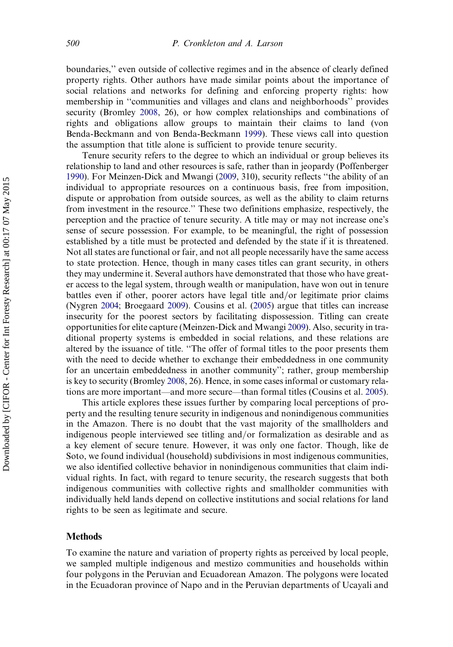boundaries,'' even outside of collective regimes and in the absence of clearly defined property rights. Other authors have made similar points about the importance of social relations and networks for defining and enforcing property rights: how membership in ''communities and villages and clans and neighborhoods'' provides security (Bromley [2008,](#page-17-0) 26), or how complex relationships and combinations of rights and obligations allow groups to maintain their claims to land (von Benda-Beckmann and von Benda-Beckmann [1999\)](#page-18-0). These views call into question the assumption that title alone is sufficient to provide tenure security.

Tenure security refers to the degree to which an individual or group believes its relationship to land and other resources is safe, rather than in jeopardy (Poffenberger [1990](#page-17-0)). For Meinzen-Dick and Mwangi [\(2009](#page-17-0), 310), security reflects ''the ability of an individual to appropriate resources on a continuous basis, free from imposition, dispute or approbation from outside sources, as well as the ability to claim returns from investment in the resource.'' These two definitions emphasize, respectively, the perception and the practice of tenure security. A title may or may not increase one's sense of secure possession. For example, to be meaningful, the right of possession established by a title must be protected and defended by the state if it is threatened. Not all states are functional or fair, and not all people necessarily have the same access to state protection. Hence, though in many cases titles can grant security, in others they may undermine it. Several authors have demonstrated that those who have greater access to the legal system, through wealth or manipulation, have won out in tenure battles even if other, poorer actors have legal title and/or legitimate prior claims (Nygren [2004;](#page-17-0) Broegaard [2009](#page-17-0)). Cousins et al. ([2005\)](#page-17-0) argue that titles can increase insecurity for the poorest sectors by facilitating dispossession. Titling can create opportunities for elite capture (Meinzen-Dick and Mwangi [2009\)](#page-17-0). Also, security in traditional property systems is embedded in social relations, and these relations are altered by the issuance of title. ''The offer of formal titles to the poor presents them with the need to decide whether to exchange their embeddedness in one community for an uncertain embeddedness in another community''; rather, group membership is key to security (Bromley [2008,](#page-17-0) 26). Hence, in some cases informal or customary relations are more important—and more secure—than formal titles (Cousins et al. [2005](#page-17-0)).

This article explores these issues further by comparing local perceptions of property and the resulting tenure security in indigenous and nonindigenous communities in the Amazon. There is no doubt that the vast majority of the smallholders and indigenous people interviewed see titling and/or formalization as desirable and as a key element of secure tenure. However, it was only one factor. Though, like de Soto, we found individual (household) subdivisions in most indigenous communities, we also identified collective behavior in nonindigenous communities that claim individual rights. In fact, with regard to tenure security, the research suggests that both indigenous communities with collective rights and smallholder communities with individually held lands depend on collective institutions and social relations for land rights to be seen as legitimate and secure.

#### **Methods**

To examine the nature and variation of property rights as perceived by local people, we sampled multiple indigenous and mestizo communities and households within four polygons in the Peruvian and Ecuadorean Amazon. The polygons were located in the Ecuadoran province of Napo and in the Peruvian departments of Ucayali and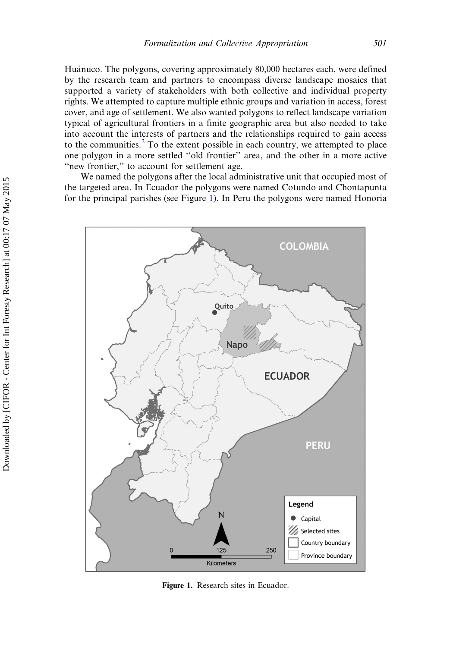Huánuco. The polygons, covering approximately 80,000 hectares each, were defined by the research team and partners to encompass diverse landscape mosaics that supported a variety of stakeholders with both collective and individual property rights. We attempted to capture multiple ethnic groups and variation in access, forest cover, and age of settlement. We also wanted polygons to reflect landscape variation typical of agricultural frontiers in a finite geographic area but also needed to take into account the interests of partners and the relationships required to gain access to the communities.<sup>[2](#page-16-0)</sup> To the extent possible in each country, we attempted to place one polygon in a more settled ''old frontier'' area, and the other in a more active "new frontier," to account for settlement age.

We named the polygons after the local administrative unit that occupied most of the targeted area. In Ecuador the polygons were named Cotundo and Chontapunta for the principal parishes (see Figure 1). In Peru the polygons were named Honoria



Figure 1. Research sites in Ecuador.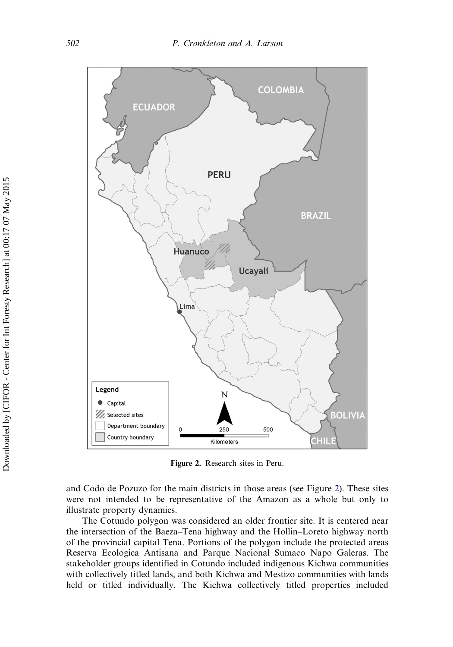

Figure 2. Research sites in Peru.

and Codo de Pozuzo for the main districts in those areas (see Figure 2). These sites were not intended to be representative of the Amazon as a whole but only to illustrate property dynamics.

The Cotundo polygon was considered an older frontier site. It is centered near the intersection of the Baeza–Tena highway and the Hollı´n–Loreto highway north of the provincial capital Tena. Portions of the polygon include the protected areas Reserva Ecologica Antisana and Parque Nacional Sumaco Napo Galeras. The stakeholder groups identified in Cotundo included indigenous Kichwa communities with collectively titled lands, and both Kichwa and Mestizo communities with lands held or titled individually. The Kichwa collectively titled properties included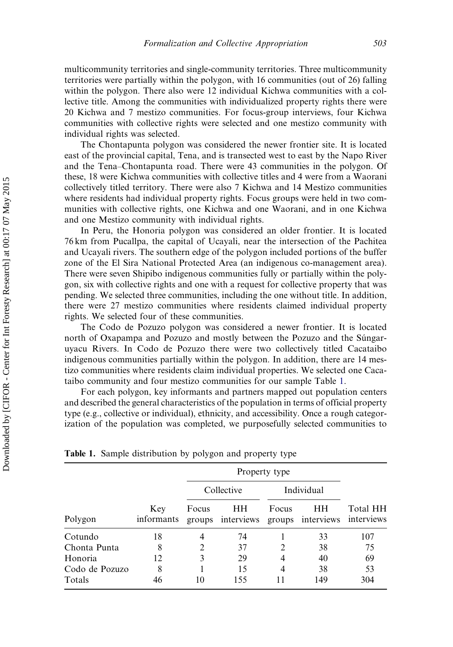multicommunity territories and single-community territories. Three multicommunity territories were partially within the polygon, with 16 communities (out of 26) falling within the polygon. There also were 12 individual Kichwa communities with a collective title. Among the communities with individualized property rights there were 20 Kichwa and 7 mestizo communities. For focus-group interviews, four Kichwa communities with collective rights were selected and one mestizo community with individual rights was selected.

The Chontapunta polygon was considered the newer frontier site. It is located east of the provincial capital, Tena, and is transected west to east by the Napo River and the Tena–Chontapunta road. There were 43 communities in the polygon. Of these, 18 were Kichwa communities with collective titles and 4 were from a Waorani collectively titled territory. There were also 7 Kichwa and 14 Mestizo communities where residents had individual property rights. Focus groups were held in two communities with collective rights, one Kichwa and one Waorani, and in one Kichwa and one Mestizo community with individual rights.

In Peru, the Honoria polygon was considered an older frontier. It is located 76 km from Pucallpa, the capital of Ucayali, near the intersection of the Pachitea and Ucayali rivers. The southern edge of the polygon included portions of the buffer zone of the El Sira National Protected Area (an indigenous co-management area). There were seven Shipibo indigenous communities fully or partially within the polygon, six with collective rights and one with a request for collective property that was pending. We selected three communities, including the one without title. In addition, there were 27 mestizo communities where residents claimed individual property rights. We selected four of these communities.

The Codo de Pozuzo polygon was considered a newer frontier. It is located north of Oxapampa and Pozuzo and mostly between the Pozuzo and the Sungaruyacu Rivers. In Codo de Pozuzo there were two collectively titled Cacataibo indigenous communities partially within the polygon. In addition, there are 14 mestizo communities where residents claim individual properties. We selected one Cacataibo community and four mestizo communities for our sample Table 1.

For each polygon, key informants and partners mapped out population centers and described the general characteristics of the population in terms of official property type (e.g., collective or individual), ethnicity, and accessibility. Once a rough categorization of the population was completed, we purposefully selected communities to

| Polygon        | Key<br>informants | Property type |                         |            |                                    |          |
|----------------|-------------------|---------------|-------------------------|------------|------------------------------------|----------|
|                |                   | Collective    |                         | Individual |                                    |          |
|                |                   | Focus         | HН<br>groups interviews | Focus      | HН<br>groups interviews interviews | Total HH |
| Cotundo        | 18                | 4             | 74                      |            | 33                                 | 107      |
| Chonta Punta   | 8                 |               | 37                      | 2          | 38                                 | 75       |
| Honoria        | 12                | 3             | 29                      | 4          | 40                                 | 69       |
| Codo de Pozuzo | 8                 |               | 15                      | 4          | 38                                 | 53       |
| Totals         | 46                | 10            | 155                     |            | 149                                | 304      |

Table 1. Sample distribution by polygon and property type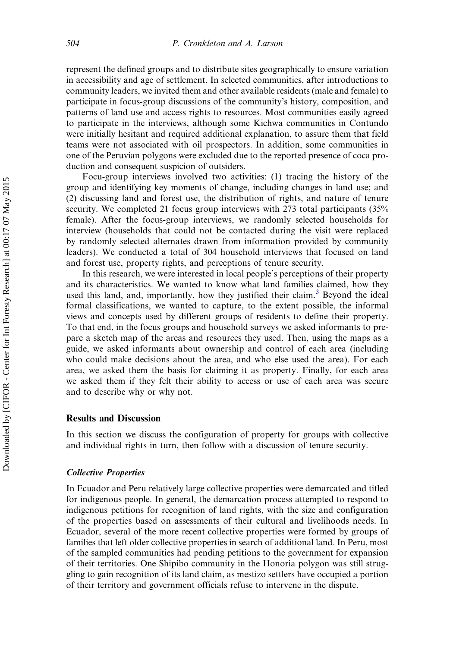represent the defined groups and to distribute sites geographically to ensure variation in accessibility and age of settlement. In selected communities, after introductions to community leaders, we invited them and other available residents (male and female) to participate in focus-group discussions of the community's history, composition, and patterns of land use and access rights to resources. Most communities easily agreed to participate in the interviews, although some Kichwa communities in Contundo were initially hesitant and required additional explanation, to assure them that field teams were not associated with oil prospectors. In addition, some communities in one of the Peruvian polygons were excluded due to the reported presence of coca production and consequent suspicion of outsiders.

Focu-group interviews involved two activities: (1) tracing the history of the group and identifying key moments of change, including changes in land use; and (2) discussing land and forest use, the distribution of rights, and nature of tenure security. We completed 21 focus group interviews with 273 total participants (35% female). After the focus-group interviews, we randomly selected households for interview (households that could not be contacted during the visit were replaced by randomly selected alternates drawn from information provided by community leaders). We conducted a total of 304 household interviews that focused on land and forest use, property rights, and perceptions of tenure security.

In this research, we were interested in local people's perceptions of their property and its characteristics. We wanted to know what land families claimed, how they used this land, and, importantly, how they justified their claim.<sup>[3](#page-16-0)</sup> Beyond the ideal formal classifications, we wanted to capture, to the extent possible, the informal views and concepts used by different groups of residents to define their property. To that end, in the focus groups and household surveys we asked informants to prepare a sketch map of the areas and resources they used. Then, using the maps as a guide, we asked informants about ownership and control of each area (including who could make decisions about the area, and who else used the area). For each area, we asked them the basis for claiming it as property. Finally, for each area we asked them if they felt their ability to access or use of each area was secure and to describe why or why not.

#### Results and Discussion

In this section we discuss the configuration of property for groups with collective and individual rights in turn, then follow with a discussion of tenure security.

#### Collective Properties

In Ecuador and Peru relatively large collective properties were demarcated and titled for indigenous people. In general, the demarcation process attempted to respond to indigenous petitions for recognition of land rights, with the size and configuration of the properties based on assessments of their cultural and livelihoods needs. In Ecuador, several of the more recent collective properties were formed by groups of families that left older collective properties in search of additional land. In Peru, most of the sampled communities had pending petitions to the government for expansion of their territories. One Shipibo community in the Honoria polygon was still struggling to gain recognition of its land claim, as mestizo settlers have occupied a portion of their territory and government officials refuse to intervene in the dispute.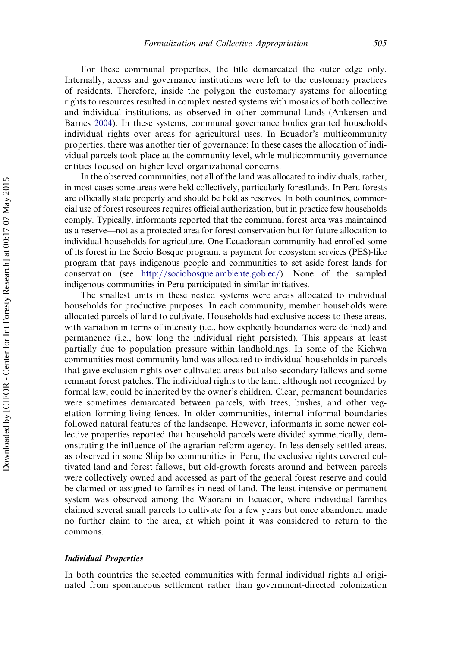For these communal properties, the title demarcated the outer edge only. Internally, access and governance institutions were left to the customary practices of residents. Therefore, inside the polygon the customary systems for allocating rights to resources resulted in complex nested systems with mosaics of both collective and individual institutions, as observed in other communal lands (Ankersen and Barnes [2004\)](#page-16-0). In these systems, communal governance bodies granted households individual rights over areas for agricultural uses. In Ecuador's multicommunity properties, there was another tier of governance: In these cases the allocation of individual parcels took place at the community level, while multicommunity governance entities focused on higher level organizational concerns.

In the observed communities, not all of the land was allocated to individuals; rather, in most cases some areas were held collectively, particularly forestlands. In Peru forests are officially state property and should be held as reserves. In both countries, commercial use of forest resources requires official authorization, but in practice few households comply. Typically, informants reported that the communal forest area was maintained as a reserve—not as a protected area for forest conservation but for future allocation to individual households for agriculture. One Ecuadorean community had enrolled some of its forest in the Socio Bosque program, a payment for ecosystem services (PES)-like program that pays indigenous people and communities to set aside forest lands for conservation (see [http://sociobosque.ambiente.gob.ec/\)](http://sociobosque.ambiente.gob.ec/). None of the sampled indigenous communities in Peru participated in similar initiatives.

The smallest units in these nested systems were areas allocated to individual households for productive purposes. In each community, member households were allocated parcels of land to cultivate. Households had exclusive access to these areas, with variation in terms of intensity (i.e., how explicitly boundaries were defined) and permanence (i.e., how long the individual right persisted). This appears at least partially due to population pressure within landholdings. In some of the Kichwa communities most community land was allocated to individual households in parcels that gave exclusion rights over cultivated areas but also secondary fallows and some remnant forest patches. The individual rights to the land, although not recognized by formal law, could be inherited by the owner's children. Clear, permanent boundaries were sometimes demarcated between parcels, with trees, bushes, and other vegetation forming living fences. In older communities, internal informal boundaries followed natural features of the landscape. However, informants in some newer collective properties reported that household parcels were divided symmetrically, demonstrating the influence of the agrarian reform agency. In less densely settled areas, as observed in some Shipibo communities in Peru, the exclusive rights covered cultivated land and forest fallows, but old-growth forests around and between parcels were collectively owned and accessed as part of the general forest reserve and could be claimed or assigned to families in need of land. The least intensive or permanent system was observed among the Waorani in Ecuador, where individual families claimed several small parcels to cultivate for a few years but once abandoned made no further claim to the area, at which point it was considered to return to the commons.

#### Individual Properties

In both countries the selected communities with formal individual rights all originated from spontaneous settlement rather than government-directed colonization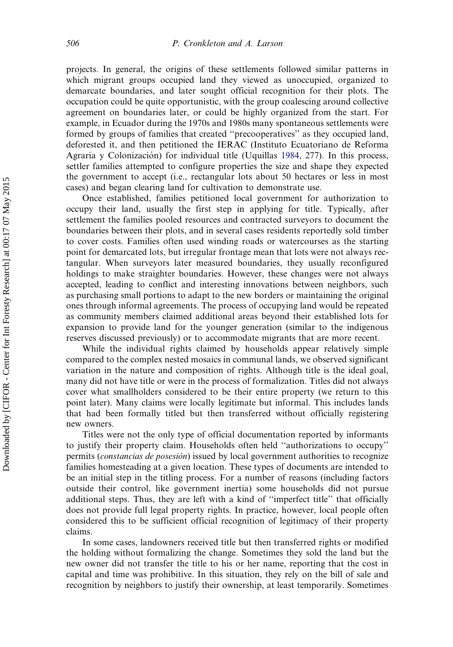projects. In general, the origins of these settlements followed similar patterns in which migrant groups occupied land they viewed as unoccupied, organized to demarcate boundaries, and later sought official recognition for their plots. The occupation could be quite opportunistic, with the group coalescing around collective agreement on boundaries later, or could be highly organized from the start. For example, in Ecuador during the 1970s and 1980s many spontaneous settlements were formed by groups of families that created ''precooperatives'' as they occupied land, deforested it, and then petitioned the IERAC (Instituto Ecuatoriano de Reforma Agraria y Colonización) for individual title (Uquillas [1984,](#page-18-0) 277). In this process, settler families attempted to configure properties the size and shape they expected the government to accept (i.e., rectangular lots about 50 hectares or less in most cases) and began clearing land for cultivation to demonstrate use.

Once established, families petitioned local government for authorization to occupy their land, usually the first step in applying for title. Typically, after settlement the families pooled resources and contracted surveyors to document the boundaries between their plots, and in several cases residents reportedly sold timber to cover costs. Families often used winding roads or watercourses as the starting point for demarcated lots, but irregular frontage mean that lots were not always rectangular. When surveyors later measured boundaries, they usually reconfigured holdings to make straighter boundaries. However, these changes were not always accepted, leading to conflict and interesting innovations between neighbors, such as purchasing small portions to adapt to the new borders or maintaining the original ones through informal agreements. The process of occupying land would be repeated as community members claimed additional areas beyond their established lots for expansion to provide land for the younger generation (similar to the indigenous reserves discussed previously) or to accommodate migrants that are more recent.

While the individual rights claimed by households appear relatively simple compared to the complex nested mosaics in communal lands, we observed significant variation in the nature and composition of rights. Although title is the ideal goal, many did not have title or were in the process of formalization. Titles did not always cover what smallholders considered to be their entire property (we return to this point later). Many claims were locally legitimate but informal. This includes lands that had been formally titled but then transferred without officially registering new owners.

Titles were not the only type of official documentation reported by informants to justify their property claim. Households often held ''authorizations to occupy'' permits (*constancias de posesión*) issued by local government authorities to recognize families homesteading at a given location. These types of documents are intended to be an initial step in the titling process. For a number of reasons (including factors outside their control, like government inertia) some households did not pursue additional steps. Thus, they are left with a kind of ''imperfect title'' that officially does not provide full legal property rights. In practice, however, local people often considered this to be sufficient official recognition of legitimacy of their property claims.

In some cases, landowners received title but then transferred rights or modified the holding without formalizing the change. Sometimes they sold the land but the new owner did not transfer the title to his or her name, reporting that the cost in capital and time was prohibitive. In this situation, they rely on the bill of sale and recognition by neighbors to justify their ownership, at least temporarily. Sometimes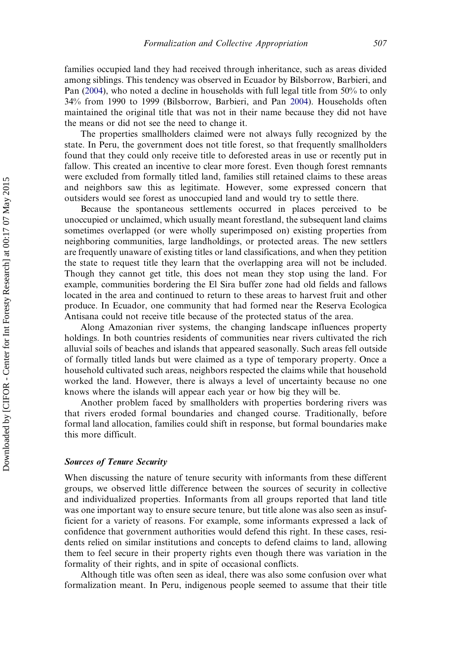families occupied land they had received through inheritance, such as areas divided among siblings. This tendency was observed in Ecuador by Bilsborrow, Barbieri, and Pan ([2004](#page-17-0)), who noted a decline in households with full legal title from 50% to only 34% from 1990 to 1999 (Bilsborrow, Barbieri, and Pan [2004\)](#page-17-0). Households often maintained the original title that was not in their name because they did not have the means or did not see the need to change it.

The properties smallholders claimed were not always fully recognized by the state. In Peru, the government does not title forest, so that frequently smallholders found that they could only receive title to deforested areas in use or recently put in fallow. This created an incentive to clear more forest. Even though forest remnants were excluded from formally titled land, families still retained claims to these areas and neighbors saw this as legitimate. However, some expressed concern that outsiders would see forest as unoccupied land and would try to settle there.

Because the spontaneous settlements occurred in places perceived to be unoccupied or unclaimed, which usually meant forestland, the subsequent land claims sometimes overlapped (or were wholly superimposed on) existing properties from neighboring communities, large landholdings, or protected areas. The new settlers are frequently unaware of existing titles or land classifications, and when they petition the state to request title they learn that the overlapping area will not be included. Though they cannot get title, this does not mean they stop using the land. For example, communities bordering the El Sira buffer zone had old fields and fallows located in the area and continued to return to these areas to harvest fruit and other produce. In Ecuador, one community that had formed near the Reserva Ecologica Antisana could not receive title because of the protected status of the area.

Along Amazonian river systems, the changing landscape influences property holdings. In both countries residents of communities near rivers cultivated the rich alluvial soils of beaches and islands that appeared seasonally. Such areas fell outside of formally titled lands but were claimed as a type of temporary property. Once a household cultivated such areas, neighbors respected the claims while that household worked the land. However, there is always a level of uncertainty because no one knows where the islands will appear each year or how big they will be.

Another problem faced by smallholders with properties bordering rivers was that rivers eroded formal boundaries and changed course. Traditionally, before formal land allocation, families could shift in response, but formal boundaries make this more difficult.

#### Sources of Tenure Security

When discussing the nature of tenure security with informants from these different groups, we observed little difference between the sources of security in collective and individualized properties. Informants from all groups reported that land title was one important way to ensure secure tenure, but title alone was also seen as insufficient for a variety of reasons. For example, some informants expressed a lack of confidence that government authorities would defend this right. In these cases, residents relied on similar institutions and concepts to defend claims to land, allowing them to feel secure in their property rights even though there was variation in the formality of their rights, and in spite of occasional conflicts.

Although title was often seen as ideal, there was also some confusion over what formalization meant. In Peru, indigenous people seemed to assume that their title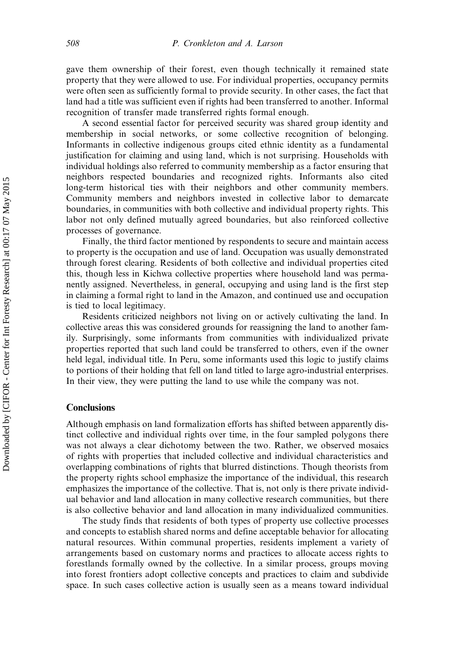gave them ownership of their forest, even though technically it remained state property that they were allowed to use. For individual properties, occupancy permits were often seen as sufficiently formal to provide security. In other cases, the fact that land had a title was sufficient even if rights had been transferred to another. Informal recognition of transfer made transferred rights formal enough.

A second essential factor for perceived security was shared group identity and membership in social networks, or some collective recognition of belonging. Informants in collective indigenous groups cited ethnic identity as a fundamental justification for claiming and using land, which is not surprising. Households with individual holdings also referred to community membership as a factor ensuring that neighbors respected boundaries and recognized rights. Informants also cited long-term historical ties with their neighbors and other community members. Community members and neighbors invested in collective labor to demarcate boundaries, in communities with both collective and individual property rights. This labor not only defined mutually agreed boundaries, but also reinforced collective processes of governance.

Finally, the third factor mentioned by respondents to secure and maintain access to property is the occupation and use of land. Occupation was usually demonstrated through forest clearing. Residents of both collective and individual properties cited this, though less in Kichwa collective properties where household land was permanently assigned. Nevertheless, in general, occupying and using land is the first step in claiming a formal right to land in the Amazon, and continued use and occupation is tied to local legitimacy.

Residents criticized neighbors not living on or actively cultivating the land. In collective areas this was considered grounds for reassigning the land to another family. Surprisingly, some informants from communities with individualized private properties reported that such land could be transferred to others, even if the owner held legal, individual title. In Peru, some informants used this logic to justify claims to portions of their holding that fell on land titled to large agro-industrial enterprises. In their view, they were putting the land to use while the company was not.

### **Conclusions**

Although emphasis on land formalization efforts has shifted between apparently distinct collective and individual rights over time, in the four sampled polygons there was not always a clear dichotomy between the two. Rather, we observed mosaics of rights with properties that included collective and individual characteristics and overlapping combinations of rights that blurred distinctions. Though theorists from the property rights school emphasize the importance of the individual, this research emphasizes the importance of the collective. That is, not only is there private individual behavior and land allocation in many collective research communities, but there is also collective behavior and land allocation in many individualized communities.

The study finds that residents of both types of property use collective processes and concepts to establish shared norms and define acceptable behavior for allocating natural resources. Within communal properties, residents implement a variety of arrangements based on customary norms and practices to allocate access rights to forestlands formally owned by the collective. In a similar process, groups moving into forest frontiers adopt collective concepts and practices to claim and subdivide space. In such cases collective action is usually seen as a means toward individual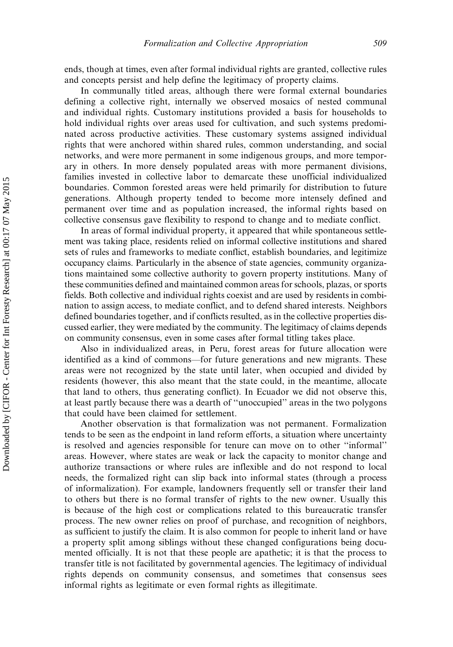ends, though at times, even after formal individual rights are granted, collective rules and concepts persist and help define the legitimacy of property claims.

In communally titled areas, although there were formal external boundaries defining a collective right, internally we observed mosaics of nested communal and individual rights. Customary institutions provided a basis for households to hold individual rights over areas used for cultivation, and such systems predominated across productive activities. These customary systems assigned individual rights that were anchored within shared rules, common understanding, and social networks, and were more permanent in some indigenous groups, and more temporary in others. In more densely populated areas with more permanent divisions, families invested in collective labor to demarcate these unofficial individualized boundaries. Common forested areas were held primarily for distribution to future generations. Although property tended to become more intensely defined and permanent over time and as population increased, the informal rights based on collective consensus gave flexibility to respond to change and to mediate conflict.

In areas of formal individual property, it appeared that while spontaneous settlement was taking place, residents relied on informal collective institutions and shared sets of rules and frameworks to mediate conflict, establish boundaries, and legitimize occupancy claims. Particularly in the absence of state agencies, community organizations maintained some collective authority to govern property institutions. Many of these communities defined and maintained common areas for schools, plazas, or sports fields. Both collective and individual rights coexist and are used by residents in combination to assign access, to mediate conflict, and to defend shared interests. Neighbors defined boundaries together, and if conflicts resulted, as in the collective properties discussed earlier, they were mediated by the community. The legitimacy of claims depends on community consensus, even in some cases after formal titling takes place.

Also in individualized areas, in Peru, forest areas for future allocation were identified as a kind of commons—for future generations and new migrants. These areas were not recognized by the state until later, when occupied and divided by residents (however, this also meant that the state could, in the meantime, allocate that land to others, thus generating conflict). In Ecuador we did not observe this, at least partly because there was a dearth of ''unoccupied'' areas in the two polygons that could have been claimed for settlement.

Another observation is that formalization was not permanent. Formalization tends to be seen as the endpoint in land reform efforts, a situation where uncertainty is resolved and agencies responsible for tenure can move on to other ''informal'' areas. However, where states are weak or lack the capacity to monitor change and authorize transactions or where rules are inflexible and do not respond to local needs, the formalized right can slip back into informal states (through a process of informalization). For example, landowners frequently sell or transfer their land to others but there is no formal transfer of rights to the new owner. Usually this is because of the high cost or complications related to this bureaucratic transfer process. The new owner relies on proof of purchase, and recognition of neighbors, as sufficient to justify the claim. It is also common for people to inherit land or have a property split among siblings without these changed configurations being documented officially. It is not that these people are apathetic; it is that the process to transfer title is not facilitated by governmental agencies. The legitimacy of individual rights depends on community consensus, and sometimes that consensus sees informal rights as legitimate or even formal rights as illegitimate.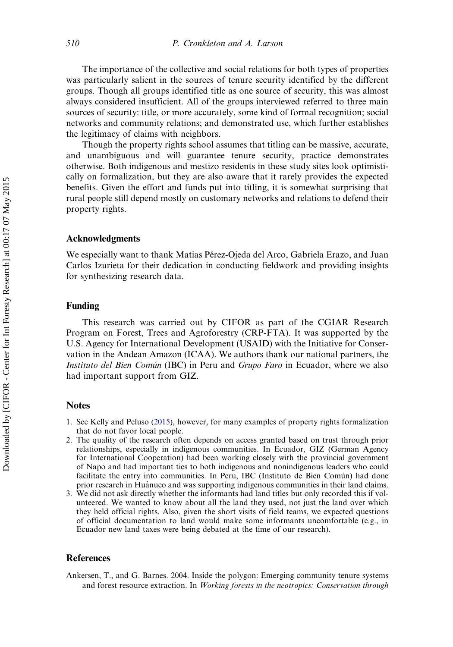<span id="page-16-0"></span>The importance of the collective and social relations for both types of properties was particularly salient in the sources of tenure security identified by the different groups. Though all groups identified title as one source of security, this was almost always considered insufficient. All of the groups interviewed referred to three main sources of security: title, or more accurately, some kind of formal recognition; social networks and community relations; and demonstrated use, which further establishes the legitimacy of claims with neighbors.

Though the property rights school assumes that titling can be massive, accurate, and unambiguous and will guarantee tenure security, practice demonstrates otherwise. Both indigenous and mestizo residents in these study sites look optimistically on formalization, but they are also aware that it rarely provides the expected benefits. Given the effort and funds put into titling, it is somewhat surprising that rural people still depend mostly on customary networks and relations to defend their property rights.

#### Acknowledgments

We especially want to thank Matias Pérez-Ojeda del Arco, Gabriela Erazo, and Juan Carlos Izurieta for their dedication in conducting fieldwork and providing insights for synthesizing research data.

#### Funding

This research was carried out by CIFOR as part of the CGIAR Research Program on Forest, Trees and Agroforestry (CRP-FTA). It was supported by the U.S. Agency for International Development (USAID) with the Initiative for Conservation in the Andean Amazon (ICAA). We authors thank our national partners, the Instituto del Bien Común (IBC) in Peru and Grupo Faro in Ecuador, where we also had important support from GIZ.

#### **Notes**

- 1. See Kelly and Peluso [\(2015](#page-17-0)), however, for many examples of property rights formalization that do not favor local people.
- 2. The quality of the research often depends on access granted based on trust through prior relationships, especially in indigenous communities. In Ecuador, GIZ (German Agency for International Cooperation) had been working closely with the provincial government of Napo and had important ties to both indigenous and nonindigenous leaders who could facilitate the entry into communities. In Peru, IBC (Instituto de Bien Común) had done prior research in Hua´nuco and was supporting indigenous communities in their land claims.
- 3. We did not ask directly whether the informants had land titles but only recorded this if volunteered. We wanted to know about all the land they used, not just the land over which they held official rights. Also, given the short visits of field teams, we expected questions of official documentation to land would make some informants uncomfortable (e.g., in Ecuador new land taxes were being debated at the time of our research).

#### References

Ankersen, T., and G. Barnes. 2004. Inside the polygon: Emerging community tenure systems and forest resource extraction. In Working forests in the neotropics: Conservation through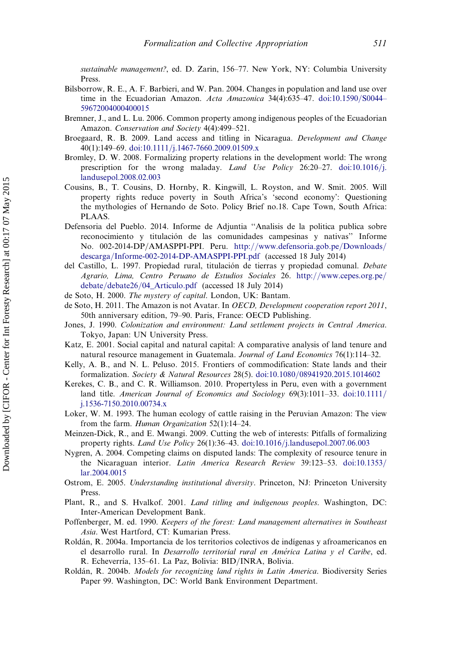<span id="page-17-0"></span>sustainable management?, ed. D. Zarin, 156–77. New York, NY: Columbia University Press.

- Bilsborrow, R. E., A. F. Barbieri, and W. Pan. 2004. Changes in population and land use over time in the Ecuadorian Amazon. Acta Amazonica 34(4):635-47. [doi:10.1590](http://dx.doi.org/10.1590/S0044--59672004000400015)/S0044-[59672004000400015](http://dx.doi.org/10.1590/S0044--59672004000400015)
- Bremner, J., and L. Lu. 2006. Common property among indigenous peoples of the Ecuadorian Amazon. Conservation and Society 4(4):499–521.
- Broegaard, R. B. 2009. Land access and titling in Nicaragua. Development and Change 40(1):149–69. [doi:10.1111](http://dx.doi.org/10.1111/j.1467-7660.2009.01509.x)/[j.1467-7660.2009.01509.x](http://dx.doi.org/10.1111/j.1467-7660.2009.01509.x)
- Bromley, D. W. 2008. Formalizing property relations in the development world: The wrong prescription for the wrong maladay. Land Use Policy 26:20-27. [doi:10.1016](http://dx.doi.org/10.1016/j.landusepol.2008.02.003)/[j.](http://dx.doi.org/10.1016/j.landusepol.2008.02.003) [landusepol.2008.02.003](http://dx.doi.org/10.1016/j.landusepol.2008.02.003)
- Cousins, B., T. Cousins, D. Hornby, R. Kingwill, L. Royston, and W. Smit. 2005. Will property rights reduce poverty in South Africa's 'second economy': Questioning the mythologies of Hernando de Soto. Policy Brief no.18. Cape Town, South Africa: PLAAS.
- Defensoria del Pueblo. 2014. Informe de Adjuntia ''Analisis de la politica publica sobre reconocimiento y titulación de las comunidades campesinas y nativas'' Informe No. 002-2014-DP/AMASPPI-PPI. Peru. [http://www.defensoria.gob.pe/Downloads/](http://www.defensoria.gob.pe/Downloads/descarga/Informe-002-2014-DP-AMASPPI-PPI.pdf) [descarga/Informe-002-2014-DP-AMASPPI-PPI.pdf](http://www.defensoria.gob.pe/Downloads/descarga/Informe-002-2014-DP-AMASPPI-PPI.pdf) (accessed 18 July 2014)
- del Castillo, L. 1997. Propiedad rural, titulación de tierras y propiedad comunal. Debate Agrario, Lima, Centro Peruano de Estudios Sociales 26. [http://www.cepes.org.pe/](http://www.cepes.org.pe/debate/debate26/04_Articulo.pdf) [debate/debate26/04\\_Articulo.pdf](http://www.cepes.org.pe/debate/debate26/04_Articulo.pdf) (accessed 18 July 2014)
- de Soto, H. 2000. The mystery of capital. London, UK: Bantam.
- de Soto, H. 2011. The Amazon is not Avatar. In OECD, Development cooperation report 2011, 50th anniversary edition, 79–90. Paris, France: OECD Publishing.
- Jones, J. 1990. Colonization and environment: Land settlement projects in Central America. Tokyo, Japan: UN University Press.
- Katz, E. 2001. Social capital and natural capital: A comparative analysis of land tenure and natural resource management in Guatemala. Journal of Land Economics 76(1):114-32.
- Kelly, A. B., and N. L. Peluso. 2015. Frontiers of commodification: State lands and their formalization. Society & Natural Resources 28(5). [doi:10.1080](http://dx.doi.org/10.1080/08941920.2015.1014602)/[08941920.2015.1014602](http://dx.doi.org/10.1080/08941920.2015.1014602)
- Kerekes, C. B., and C. R. Williamson. 2010. Propertyless in Peru, even with a government land title. American Journal of Economics and Sociology  $69(3):1011-33$ . [doi:10.1111](http://dx.doi.org/10.1111/j.1536-7150.2010.00734.x)/ [j.1536-7150.2010.00734.x](http://dx.doi.org/10.1111/j.1536-7150.2010.00734.x)
- Loker, W. M. 1993. The human ecology of cattle raising in the Peruvian Amazon: The view from the farm. Human Organization 52(1):14–24.
- Meinzen-Dick, R., and E. Mwangi. 2009. Cutting the web of interests: Pitfalls of formalizing property rights. Land Use Policy 26(1):36-43. [doi:10.1016](http://dx.doi.org/10.1016/j.landusepol.2007.06.003)/[j.landusepol.2007.06.003](http://dx.doi.org/10.1016/j.landusepol.2007.06.003)
- Nygren, A. 2004. Competing claims on disputed lands: The complexity of resource tenure in the Nicaraguan interior. Latin America Research Review 39:123–53. [doi:10.1353](http://dx.doi.org/10.1353/lar.2004.0015)/ [lar.2004.0015](http://dx.doi.org/10.1353/lar.2004.0015)
- Ostrom, E. 2005. Understanding institutional diversity. Princeton, NJ: Princeton University Press.
- Plant, R., and S. Hvalkof. 2001. Land titling and indigenous peoples. Washington, DC: Inter-American Development Bank.
- Poffenberger, M. ed. 1990. Keepers of the forest: Land management alternatives in Southeast Asia. West Hartford, CT: Kumarian Press.
- Rolda´n, R. 2004a. Importancia de los territorios colectivos de indı´genas y afroamericanos en el desarrollo rural. In Desarrollo territorial rural en América Latina y el Caribe, ed. R. Echeverría, 135–61. La Paz, Bolivia: BID/INRA, Bolivia.
- Roldán, R. 2004b. Models for recognizing land rights in Latin America. Biodiversity Series Paper 99. Washington, DC: World Bank Environment Department.